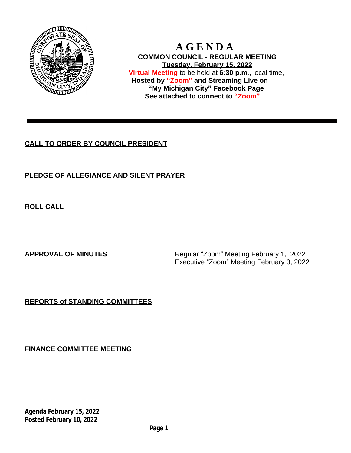

 **A G E N D A COMMON COUNCIL - REGULAR MEETING Tuesday, February 15, 2022 Virtual Meeting** to be held at **6:30 p.m**., local time, **Hosted by "Zoom" and Streaming Live on "My Michigan City" Facebook Page See attached to connect to "Zoom"**

# **CALL TO ORDER BY COUNCIL PRESIDENT**

# **PLEDGE OF ALLEGIANCE AND SILENT PRAYER**

**ROLL CALL**

**APPROVAL OF MINUTES** Regular "Zoom" Meeting February 1, 2022 Executive "Zoom" Meeting February 3, 2022

# **REPORTS of STANDING COMMITTEES**

**FINANCE COMMITTEE MEETING**

**Agenda February 15, 2022 Posted February 10, 2022**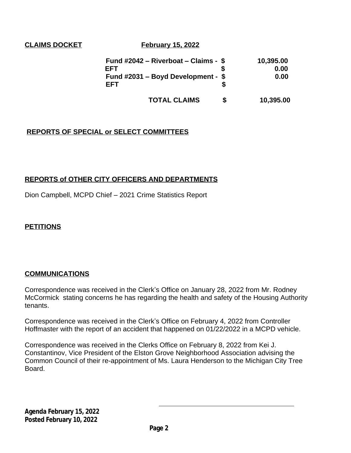**CLAIMS DOCKET February 15, 2022** 

| Fund #2042 – Riverboat – Claims - $$$ | 10,395.00 |
|---------------------------------------|-----------|
| EFT                                   | 0.00      |
| Fund $\#2031$ – Boyd Development - \$ | 0.00      |
| FFT                                   |           |
|                                       |           |

**TOTAL CLAIMS \$ 10,395.00**

# **REPORTS OF SPECIAL or SELECT COMMITTEES**

## **REPORTS of OTHER CITY OFFICERS AND DEPARTMENTS**

Dion Campbell, MCPD Chief – 2021 Crime Statistics Report

## **PETITIONS**

## **COMMUNICATIONS**

Correspondence was received in the Clerk's Office on January 28, 2022 from Mr. Rodney McCormick stating concerns he has regarding the health and safety of the Housing Authority tenants.

Correspondence was received in the Clerk's Office on February 4, 2022 from Controller Hoffmaster with the report of an accident that happened on 01/22/2022 in a MCPD vehicle.

Correspondence was received in the Clerks Office on February 8, 2022 from Kei J. Constantinov, Vice President of the Elston Grove Neighborhood Association advising the Common Council of their re-appointment of Ms. Laura Henderson to the Michigan City Tree Board.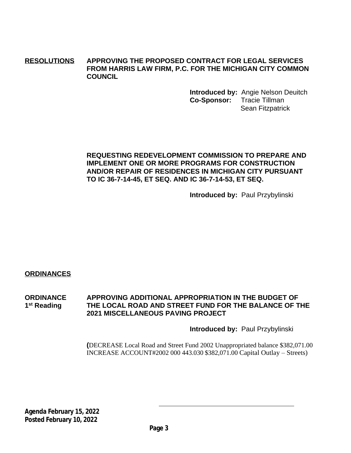## **RESOLUTIONS APPROVING THE PROPOSED CONTRACT FOR LEGAL SERVICES FROM HARRIS LAW FIRM, P.C. FOR THE MICHIGAN CITY COMMON COUNCIL**

**Introduced by:** Angie Nelson Deuitch **Co-Sponsor:** Tracie Tillman Sean Fitzpatrick

## **REQUESTING REDEVELOPMENT COMMISSION TO PREPARE AND IMPLEMENT ONE OR MORE PROGRAMS FOR CONSTRUCTION AND/OR REPAIR OF RESIDENCES IN MICHIGAN CITY PURSUANT TO IC 36-7-14-45, ET SEQ. AND IC 36-7-14-53, ET SEQ.**

**Introduced by:** Paul Przybylinski

## **ORDINANCES**

**ORDINANCE APPROVING ADDITIONAL APPROPRIATION IN THE BUDGET OF** 1<sup>st</sup> Reading THE LOCAL ROAD AND STREET FUND FOR THE BALANCE OF THE **2021 MISCELLANEOUS PAVING PROJECT**

#### **Introduced by:** Paul Przybylinski

**(**DECREASE Local Road and Street Fund 2002 Unappropriated balance \$382,071.00 INCREASE ACCOUNT#2002 000 443.030 \$382,071.00 Capital Outlay – Streets)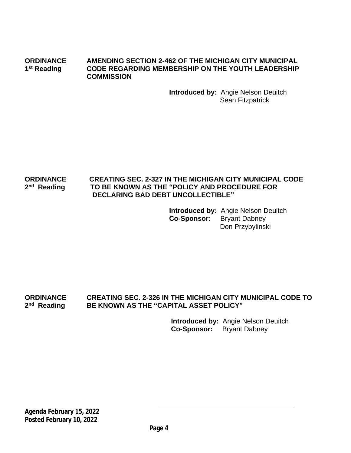**ORDINANCE AMENDING SECTION 2-462 OF THE MICHIGAN CITY MUNICIPAL** 1<sup>st</sup> Reading **CODE REGARDING MEMBERSHIP ON THE YOUTH LEADERSHIP COMMISSION**

> **Introduced by:** Angie Nelson Deuitch Sean Fitzpatrick

#### **ORDINANCE CREATING SEC. 2-327 IN THE MICHIGAN CITY MUNICIPAL CODE** 2<sup>nd</sup> Reading **nd Reading TO BE KNOWN AS THE "POLICY AND PROCEDURE FOR DECLARING BAD DEBT UNCOLLECTIBLE"**

**Introduced by:** Angie Nelson Deuitch **Co-Sponsor:** Bryant Dabney Don Przybylinski

#### **ORDINANCE CREATING SEC. 2-326 IN THE MICHIGAN CITY MUNICIPAL CODE TO** 2<sup>nd</sup> Reading **nd Reading BE KNOWN AS THE "CAPITAL ASSET POLICY"**

 **Introduced by:** Angie Nelson Deuitch  **Co-Sponsor:** Bryant Dabney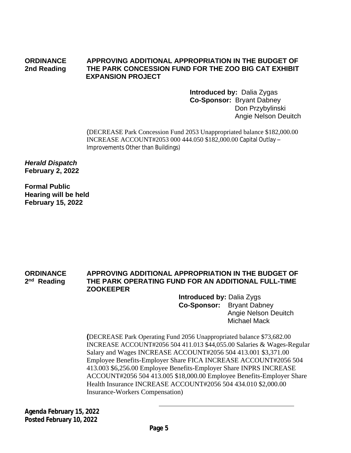#### **ORDINANCE APPROVING ADDITIONAL APPROPRIATION IN THE BUDGET OF 2nd Reading THE PARK CONCESSION FUND FOR THE ZOO BIG CAT EXHIBIT EXPANSION PROJECT**

**Introduced by:** Dalia Zygas **Co-Sponsor:** Bryant Dabney Don Przybylinski Angie Nelson Deuitch

(DECREASE Park Concession Fund 2053 Unappropriated balance \$182,000.00 INCREASE ACCOUNT#2053 000 444.050 \$182,000.00 Capital Outlay – Improvements Other than Buildings)

*Herald Dispatch* **February 2, 2022**

**Formal Public Hearing will be held February 15, 2022**

#### **ORDINANCE APPROVING ADDITIONAL APPROPRIATION IN THE BUDGET OF** 2<sup>nd</sup> Reading **THE PARK OPERATING FUND FOR AN ADDITIONAL FULL-TIME ZOOKEEPER**

 **Introduced by:** Dalia Zygs  **Co-Sponsor:** Bryant Dabney Angie Nelson Deuitch Michael Mack

**(**DECREASE Park Operating Fund 2056 Unappropriated balance \$73,682.00 INCREASE ACCOUNT#2056 504 411.013 \$44,055.00 Salaries & Wages-Regular Salary and Wages INCREASE ACCOUNT#2056 504 413.001 \$3,371.00 Employee Benefits-Employer Share FICA INCREASE ACCOUNT#2056 504 413.003 \$6,256.00 Employee Benefits-Employer Share INPRS INCREASE ACCOUNT#2056 504 413.005 \$18,000.00 Employee Benefits-Employer Share Health Insurance INCREASE ACCOUNT#2056 504 434.010 \$2,000.00 Insurance-Workers Compensation)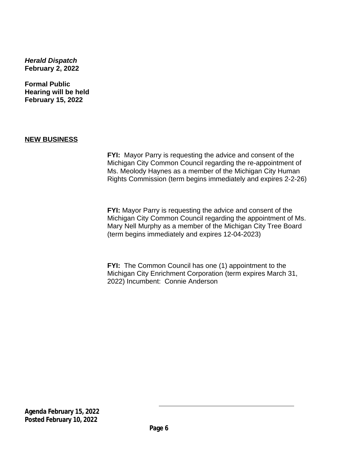*Herald Dispatch* **February 2, 2022**

**Formal Public Hearing will be held February 15, 2022**

## **NEW BUSINESS**

**FYI:** Mayor Parry is requesting the advice and consent of the Michigan City Common Council regarding the re-appointment of Ms. Meolody Haynes as a member of the Michigan City Human Rights Commission (term begins immediately and expires 2-2-26)

**FYI:** Mayor Parry is requesting the advice and consent of the Michigan City Common Council regarding the appointment of Ms. Mary Nell Murphy as a member of the Michigan City Tree Board (term begins immediately and expires 12-04-2023)

**FYI:** The Common Council has one (1) appointment to the Michigan City Enrichment Corporation (term expires March 31, 2022) Incumbent: Connie Anderson

**Agenda February 15, 2022 Posted February 10, 2022**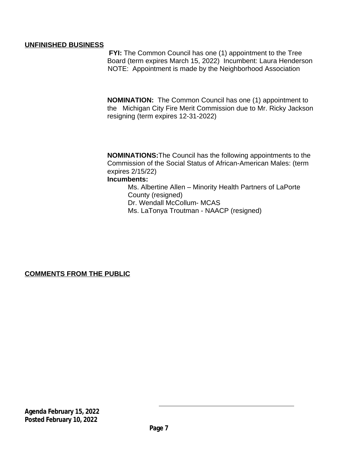## **UNFINISHED BUSINESS**

**FYI:** The Common Council has one (1) appointment to the Tree Board (term expires March 15, 2022) Incumbent: Laura Henderson NOTE: Appointment is made by the Neighborhood Association

**NOMINATION:** The Common Council has one (1) appointment to the Michigan City Fire Merit Commission due to Mr. Ricky Jackson resigning (term expires 12-31-2022)

**NOMINATIONS:**The Council has the following appointments to the Commission of the Social Status of African-American Males: (term expires 2/15/22) **Incumbents:**

Ms. Albertine Allen – Minority Health Partners of LaPorte County (resigned) Dr. Wendall McCollum- MCAS Ms. LaTonya Troutman - NAACP (resigned)

**COMMENTS FROM THE PUBLIC**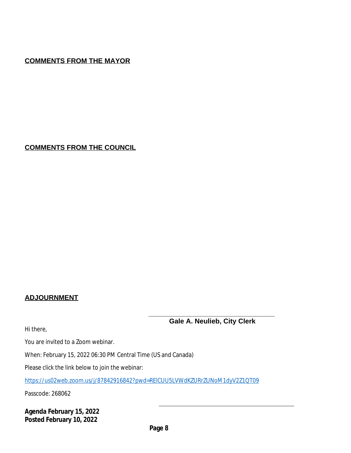# **COMMENTS FROM THE MAYOR**

**COMMENTS FROM THE COUNCIL**

# **ADJOURNMENT**

Hi there,

**Gale A. Neulieb, City Clerk** 

**\_\_\_\_\_\_\_\_\_\_\_\_\_\_\_\_\_\_\_\_\_\_\_\_\_\_\_\_\_\_\_\_\_**

You are invited to a Zoom webinar.

When: February 15, 2022 06:30 PM Central Time (US and Canada)

Please click the link below to join the webinar:

<https://us02web.zoom.us/j/87842916842?pwd=RElCUU5LVWdKZURrZUNoM1dyV2Z1QT09>

Passcode: 268062

**Agenda February 15, 2022 Posted February 10, 2022**